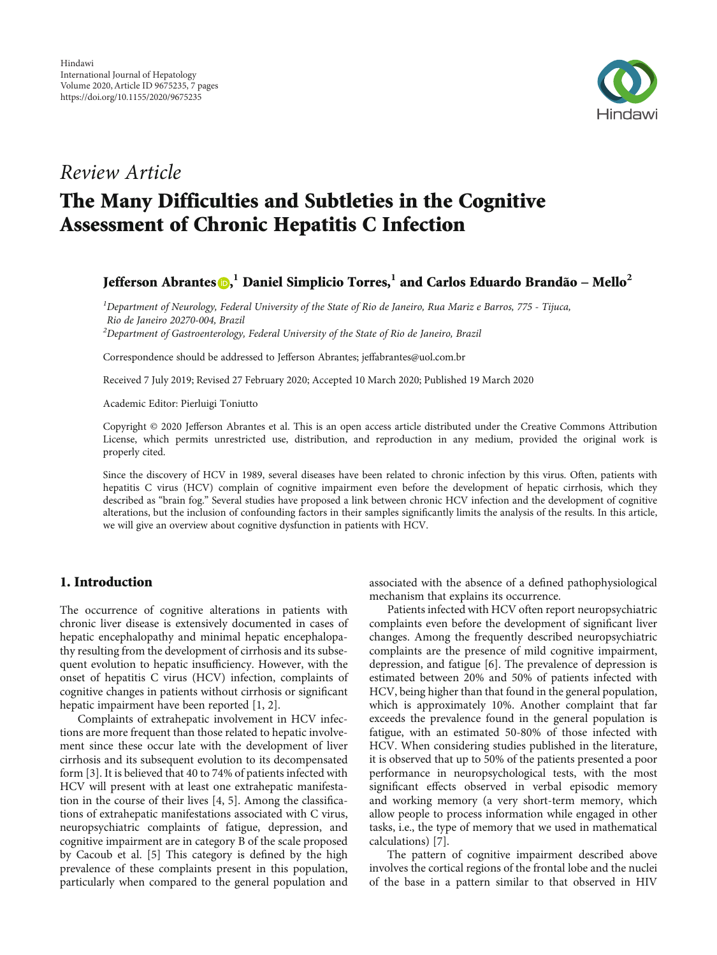

# Review Article

# The Many Difficulties and Subtleties in the Cognitive Assessment of Chronic Hepatitis C Infection

# Jefferson Abrantes **(b, <sup>1</sup> Daniel Simplicio Torres, <sup>1</sup> and Carlos Eduardo Brandão – Mello <sup>2</sup>**

 ${}^{1}$ Department of Neurology, Federal University of the State of Rio de Janeiro, Rua Mariz e Barros, 775 - Tijuca, Rio de Janeiro 20270-004, Brazil

 $^2$ Department of Gastroenterology, Federal University of the State of Rio de Janeiro, Brazil

Correspondence should be addressed to Jefferson Abrantes; jeffabrantes@uol.com.br

Received 7 July 2019; Revised 27 February 2020; Accepted 10 March 2020; Published 19 March 2020

Academic Editor: Pierluigi Toniutto

Copyright © 2020 Jefferson Abrantes et al. This is an open access article distributed under the Creative Commons Attribution License, which permits unrestricted use, distribution, and reproduction in any medium, provided the original work is properly cited.

Since the discovery of HCV in 1989, several diseases have been related to chronic infection by this virus. Often, patients with hepatitis C virus (HCV) complain of cognitive impairment even before the development of hepatic cirrhosis, which they described as "brain fog." Several studies have proposed a link between chronic HCV infection and the development of cognitive alterations, but the inclusion of confounding factors in their samples significantly limits the analysis of the results. In this article, we will give an overview about cognitive dysfunction in patients with HCV.

### 1. Introduction

The occurrence of cognitive alterations in patients with chronic liver disease is extensively documented in cases of hepatic encephalopathy and minimal hepatic encephalopathy resulting from the development of cirrhosis and its subsequent evolution to hepatic insufficiency. However, with the onset of hepatitis C virus (HCV) infection, complaints of cognitive changes in patients without cirrhosis or significant hepatic impairment have been reported [1, 2].

Complaints of extrahepatic involvement in HCV infections are more frequent than those related to hepatic involvement since these occur late with the development of liver cirrhosis and its subsequent evolution to its decompensated form [3]. It is believed that 40 to 74% of patients infected with HCV will present with at least one extrahepatic manifestation in the course of their lives [4, 5]. Among the classifications of extrahepatic manifestations associated with C virus, neuropsychiatric complaints of fatigue, depression, and cognitive impairment are in category B of the scale proposed by Cacoub et al. [5] This category is defined by the high prevalence of these complaints present in this population, particularly when compared to the general population and associated with the absence of a defined pathophysiological mechanism that explains its occurrence.

Patients infected with HCV often report neuropsychiatric complaints even before the development of significant liver changes. Among the frequently described neuropsychiatric complaints are the presence of mild cognitive impairment, depression, and fatigue [6]. The prevalence of depression is estimated between 20% and 50% of patients infected with HCV, being higher than that found in the general population, which is approximately 10%. Another complaint that far exceeds the prevalence found in the general population is fatigue, with an estimated 50-80% of those infected with HCV. When considering studies published in the literature, it is observed that up to 50% of the patients presented a poor performance in neuropsychological tests, with the most significant effects observed in verbal episodic memory and working memory (a very short-term memory, which allow people to process information while engaged in other tasks, i.e., the type of memory that we used in mathematical calculations) [7].

The pattern of cognitive impairment described above involves the cortical regions of the frontal lobe and the nuclei of the base in a pattern similar to that observed in HIV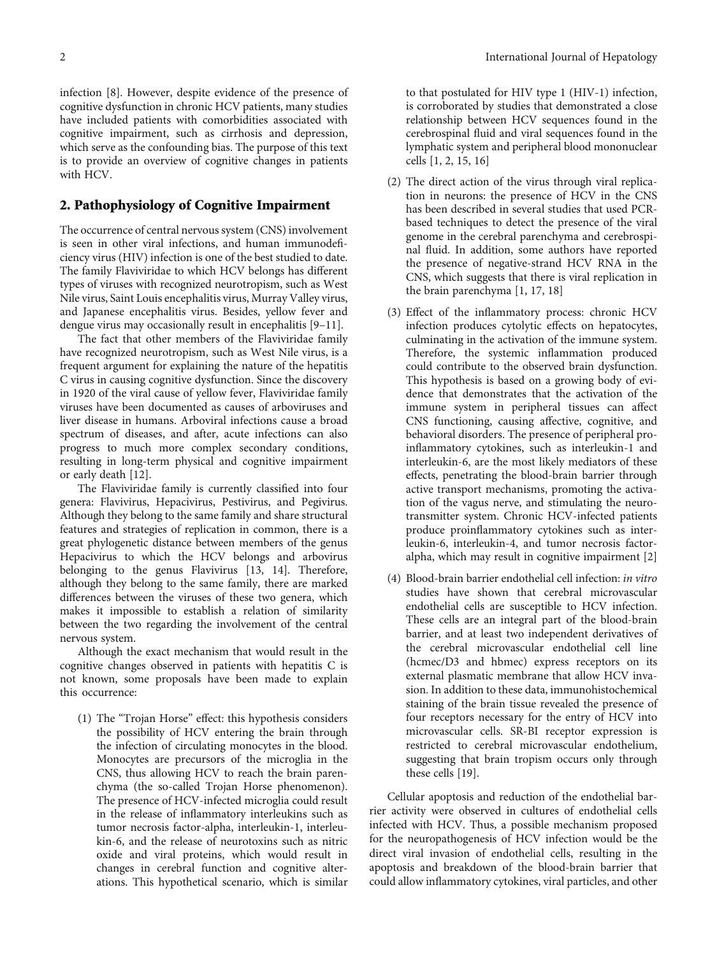infection [8]. However, despite evidence of the presence of cognitive dysfunction in chronic HCV patients, many studies have included patients with comorbidities associated with cognitive impairment, such as cirrhosis and depression, which serve as the confounding bias. The purpose of this text is to provide an overview of cognitive changes in patients with HCV.

### 2. Pathophysiology of Cognitive Impairment

The occurrence of central nervous system (CNS) involvement is seen in other viral infections, and human immunodeficiency virus (HIV) infection is one of the best studied to date. The family Flaviviridae to which HCV belongs has different types of viruses with recognized neurotropism, such as West Nile virus, Saint Louis encephalitis virus, Murray Valley virus, and Japanese encephalitis virus. Besides, yellow fever and dengue virus may occasionally result in encephalitis [9–11].

The fact that other members of the Flaviviridae family have recognized neurotropism, such as West Nile virus, is a frequent argument for explaining the nature of the hepatitis C virus in causing cognitive dysfunction. Since the discovery in 1920 of the viral cause of yellow fever, Flaviviridae family viruses have been documented as causes of arboviruses and liver disease in humans. Arboviral infections cause a broad spectrum of diseases, and after, acute infections can also progress to much more complex secondary conditions, resulting in long-term physical and cognitive impairment or early death [12].

The Flaviviridae family is currently classified into four genera: Flavivirus, Hepacivirus, Pestivirus, and Pegivirus. Although they belong to the same family and share structural features and strategies of replication in common, there is a great phylogenetic distance between members of the genus Hepacivirus to which the HCV belongs and arbovirus belonging to the genus Flavivirus [13, 14]. Therefore, although they belong to the same family, there are marked differences between the viruses of these two genera, which makes it impossible to establish a relation of similarity between the two regarding the involvement of the central nervous system.

Although the exact mechanism that would result in the cognitive changes observed in patients with hepatitis C is not known, some proposals have been made to explain this occurrence:

(1) The "Trojan Horse" effect: this hypothesis considers the possibility of HCV entering the brain through the infection of circulating monocytes in the blood. Monocytes are precursors of the microglia in the CNS, thus allowing HCV to reach the brain parenchyma (the so-called Trojan Horse phenomenon). The presence of HCV-infected microglia could result in the release of inflammatory interleukins such as tumor necrosis factor-alpha, interleukin-1, interleukin-6, and the release of neurotoxins such as nitric oxide and viral proteins, which would result in changes in cerebral function and cognitive alterations. This hypothetical scenario, which is similar to that postulated for HIV type 1 (HIV-1) infection, is corroborated by studies that demonstrated a close relationship between HCV sequences found in the cerebrospinal fluid and viral sequences found in the lymphatic system and peripheral blood mononuclear cells [1, 2, 15, 16]

- (2) The direct action of the virus through viral replication in neurons: the presence of HCV in the CNS has been described in several studies that used PCRbased techniques to detect the presence of the viral genome in the cerebral parenchyma and cerebrospinal fluid. In addition, some authors have reported the presence of negative-strand HCV RNA in the CNS, which suggests that there is viral replication in the brain parenchyma [1, 17, 18]
- (3) Effect of the inflammatory process: chronic HCV infection produces cytolytic effects on hepatocytes, culminating in the activation of the immune system. Therefore, the systemic inflammation produced could contribute to the observed brain dysfunction. This hypothesis is based on a growing body of evidence that demonstrates that the activation of the immune system in peripheral tissues can affect CNS functioning, causing affective, cognitive, and behavioral disorders. The presence of peripheral proinflammatory cytokines, such as interleukin-1 and interleukin-6, are the most likely mediators of these effects, penetrating the blood-brain barrier through active transport mechanisms, promoting the activation of the vagus nerve, and stimulating the neurotransmitter system. Chronic HCV-infected patients produce proinflammatory cytokines such as interleukin-6, interleukin-4, and tumor necrosis factoralpha, which may result in cognitive impairment [2]
- (4) Blood-brain barrier endothelial cell infection: in vitro studies have shown that cerebral microvascular endothelial cells are susceptible to HCV infection. These cells are an integral part of the blood-brain barrier, and at least two independent derivatives of the cerebral microvascular endothelial cell line (hcmec/D3 and hbmec) express receptors on its external plasmatic membrane that allow HCV invasion. In addition to these data, immunohistochemical staining of the brain tissue revealed the presence of four receptors necessary for the entry of HCV into microvascular cells. SR-BI receptor expression is restricted to cerebral microvascular endothelium, suggesting that brain tropism occurs only through these cells [19].

Cellular apoptosis and reduction of the endothelial barrier activity were observed in cultures of endothelial cells infected with HCV. Thus, a possible mechanism proposed for the neuropathogenesis of HCV infection would be the direct viral invasion of endothelial cells, resulting in the apoptosis and breakdown of the blood-brain barrier that could allow inflammatory cytokines, viral particles, and other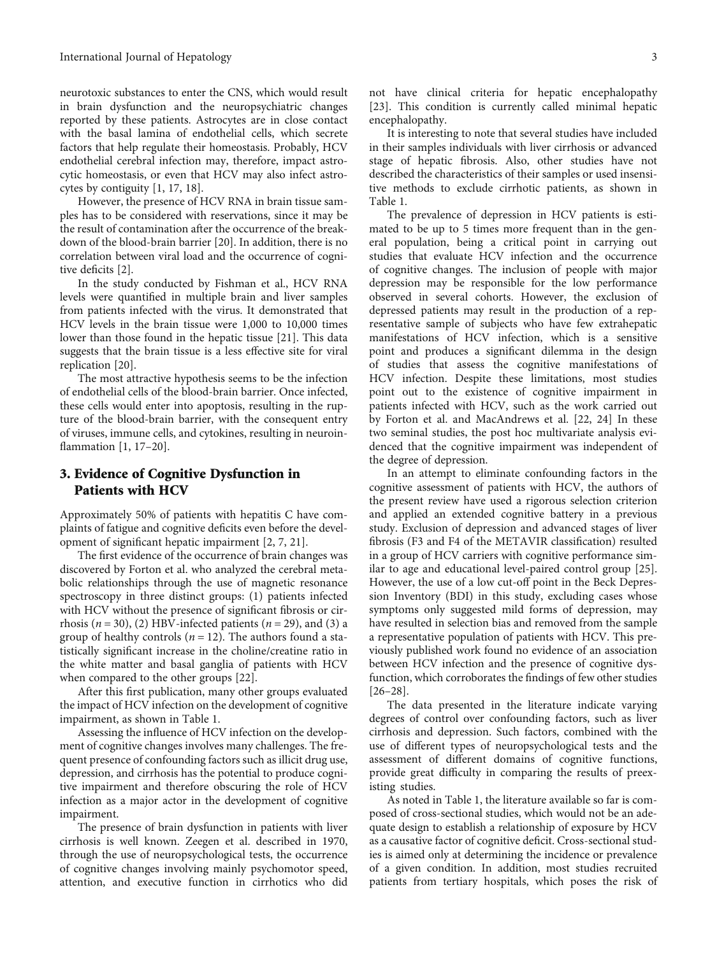neurotoxic substances to enter the CNS, which would result in brain dysfunction and the neuropsychiatric changes reported by these patients. Astrocytes are in close contact with the basal lamina of endothelial cells, which secrete factors that help regulate their homeostasis. Probably, HCV endothelial cerebral infection may, therefore, impact astrocytic homeostasis, or even that HCV may also infect astrocytes by contiguity [1, 17, 18].

However, the presence of HCV RNA in brain tissue samples has to be considered with reservations, since it may be the result of contamination after the occurrence of the breakdown of the blood-brain barrier [20]. In addition, there is no correlation between viral load and the occurrence of cognitive deficits [2].

In the study conducted by Fishman et al., HCV RNA levels were quantified in multiple brain and liver samples from patients infected with the virus. It demonstrated that HCV levels in the brain tissue were 1,000 to 10,000 times lower than those found in the hepatic tissue [21]. This data suggests that the brain tissue is a less effective site for viral replication [20].

The most attractive hypothesis seems to be the infection of endothelial cells of the blood-brain barrier. Once infected, these cells would enter into apoptosis, resulting in the rupture of the blood-brain barrier, with the consequent entry of viruses, immune cells, and cytokines, resulting in neuroinflammation [1, 17–20].

## 3. Evidence of Cognitive Dysfunction in Patients with HCV

Approximately 50% of patients with hepatitis C have complaints of fatigue and cognitive deficits even before the development of significant hepatic impairment [2, 7, 21].

The first evidence of the occurrence of brain changes was discovered by Forton et al. who analyzed the cerebral metabolic relationships through the use of magnetic resonance spectroscopy in three distinct groups: (1) patients infected with HCV without the presence of significant fibrosis or cirrhosis (*n* = 30), (2) HBV-infected patients (*n* = 29), and (3) a group of healthy controls  $(n = 12)$ . The authors found a statistically significant increase in the choline/creatine ratio in the white matter and basal ganglia of patients with HCV when compared to the other groups [22].

After this first publication, many other groups evaluated the impact of HCV infection on the development of cognitive impairment, as shown in Table 1.

Assessing the influence of HCV infection on the development of cognitive changes involves many challenges. The frequent presence of confounding factors such as illicit drug use, depression, and cirrhosis has the potential to produce cognitive impairment and therefore obscuring the role of HCV infection as a major actor in the development of cognitive impairment.

The presence of brain dysfunction in patients with liver cirrhosis is well known. Zeegen et al. described in 1970, through the use of neuropsychological tests, the occurrence of cognitive changes involving mainly psychomotor speed, attention, and executive function in cirrhotics who did

not have clinical criteria for hepatic encephalopathy [23]. This condition is currently called minimal hepatic encephalopathy.

It is interesting to note that several studies have included in their samples individuals with liver cirrhosis or advanced stage of hepatic fibrosis. Also, other studies have not described the characteristics of their samples or used insensitive methods to exclude cirrhotic patients, as shown in Table 1.

The prevalence of depression in HCV patients is estimated to be up to 5 times more frequent than in the general population, being a critical point in carrying out studies that evaluate HCV infection and the occurrence of cognitive changes. The inclusion of people with major depression may be responsible for the low performance observed in several cohorts. However, the exclusion of depressed patients may result in the production of a representative sample of subjects who have few extrahepatic manifestations of HCV infection, which is a sensitive point and produces a significant dilemma in the design of studies that assess the cognitive manifestations of HCV infection. Despite these limitations, most studies point out to the existence of cognitive impairment in patients infected with HCV, such as the work carried out by Forton et al. and MacAndrews et al. [22, 24] In these two seminal studies, the post hoc multivariate analysis evidenced that the cognitive impairment was independent of the degree of depression.

In an attempt to eliminate confounding factors in the cognitive assessment of patients with HCV, the authors of the present review have used a rigorous selection criterion and applied an extended cognitive battery in a previous study. Exclusion of depression and advanced stages of liver fibrosis (F3 and F4 of the METAVIR classification) resulted in a group of HCV carriers with cognitive performance similar to age and educational level-paired control group [25]. However, the use of a low cut-off point in the Beck Depression Inventory (BDI) in this study, excluding cases whose symptoms only suggested mild forms of depression, may have resulted in selection bias and removed from the sample a representative population of patients with HCV. This previously published work found no evidence of an association between HCV infection and the presence of cognitive dysfunction, which corroborates the findings of few other studies [26–28].

The data presented in the literature indicate varying degrees of control over confounding factors, such as liver cirrhosis and depression. Such factors, combined with the use of different types of neuropsychological tests and the assessment of different domains of cognitive functions, provide great difficulty in comparing the results of preexisting studies.

As noted in Table 1, the literature available so far is composed of cross-sectional studies, which would not be an adequate design to establish a relationship of exposure by HCV as a causative factor of cognitive deficit. Cross-sectional studies is aimed only at determining the incidence or prevalence of a given condition. In addition, most studies recruited patients from tertiary hospitals, which poses the risk of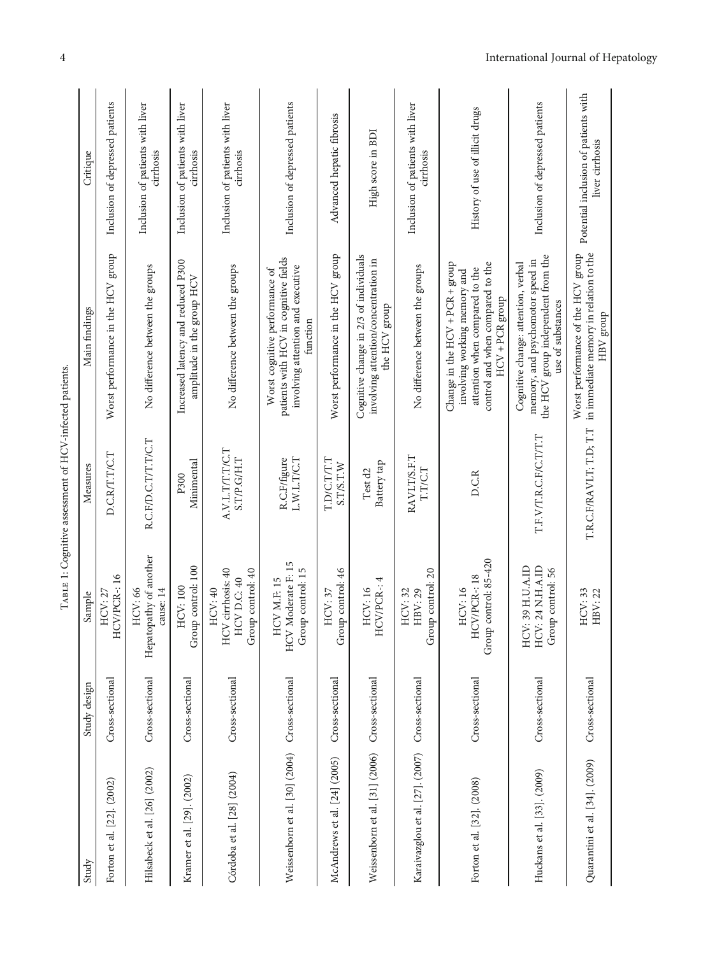| Study                                          | Study design    | $\mathbf{a}$<br>Sample                                             | Measures                           | Main findings<br>$\overline{a}$                                                                                                                              | Critique                                                |
|------------------------------------------------|-----------------|--------------------------------------------------------------------|------------------------------------|--------------------------------------------------------------------------------------------------------------------------------------------------------------|---------------------------------------------------------|
| Forton et al. [22]. (2002)                     | Cross-sectional | HCV/PCR-: 16<br>HCV: 27                                            | D.C.R/T.T/C.T                      | Worst performance in the HCV group                                                                                                                           | Inclusion of depressed patients                         |
| Hilsabeck et al. [26] (2002)                   | Cross-sectional | Hepatopathy of another<br>HCV: 66<br>cause: 14                     | R.C.F/D.C.T/T.T/C.T                | No difference between the groups                                                                                                                             | Inclusion of patients with liver<br>cirrhosis           |
| Kramer et al. [29]. (2002)                     | Cross-sectional | Group control: 100<br>HCV:100                                      | Minimental<br>P300                 | Increased latency and reduced P300<br>amplitude in the group HCV                                                                                             | Inclusion of patients with liver<br>cirrhosis           |
| Córdoba et al. [28] (2004)                     | Cross-sectional | HCV cirrhosis: 40<br>control: 40<br>HCV D.C: 40<br>HCV:40<br>Group | A.V.L.T/T.T/C.T<br>S.T/P.G/H.T     | No difference between the groups                                                                                                                             | Inclusion of patients with liver<br>cirrhosis           |
| Weissenborn et al. [30] (2004) Cross-sectional |                 | HCV Moderate F: 15<br>control: 15<br>HCV M.F: 15<br>Group          | L.W.L.T/C.T<br>R.C.F/figure        | patients with HCV in cognitive fields<br>involving attention and executive<br>Worst cognitive performance of<br>tunction                                     | Inclusion of depressed patients                         |
| McAndrews et al. [24] (2005)                   | Cross-sectional | control: 46<br>HCV: 37<br>Group                                    | T.D/C.T/T.T<br>S.T/S.T.W           | Worst performance in the HCV group                                                                                                                           | Advanced hepatic fibrosis                               |
| Weissenborn et al. [31] (2006)                 | Cross-sectional | HCV/PCR-: 4<br><b>HCV: 16</b>                                      | Battery tap<br>Test d <sub>2</sub> | Cognitive change in 2/3 of individuals<br>involving attention/concentration in<br>the HCV group                                                              | High score in BDI                                       |
| Karaivazglou et al. [27]. (2007)               | Cross-sectional | control: 20<br>HCV: 32<br><b>HBV: 29</b><br>Group                  | RAVLT/S.F.T<br><b>T.T/C.T</b>      | No difference between the groups                                                                                                                             | Inclusion of patients with liver<br>cirrhosis           |
| Forton et al. [32]. (2008)                     | Cross-sectional | Group control: 85-420<br>HCV/PCR-: 18<br><b>HCV: 16</b>            | D.C.R                              | Change in the $HCV + PCR + group$<br>control and when compared to the<br>attention when compared to the<br>involving working memory and<br>$HCV + PCR$ group | History of use of illicit drugs                         |
| Huckans et al. [33]. (2009)                    | Cross-sectional | HCV: 39 H.U.A.ID<br>HCV: 24 N.H.A.ID<br>control: 56<br>Group       | T.F.V/T.R.C.F/C.T/T.T              | the HCV group independent from the<br>memory, and psychomotor speed in<br>Cognitive change: attention, verbal<br>use of substances                           | Inclusion of depressed patients                         |
| Quarantini et al. [34]. (2009)                 | Cross-sectional | HCV: 33<br><b>HBV: 22</b>                                          | T.R.C.F/RAVLT; T.D; T.T            | in immediate memory in relation to the<br>Worst performance of the HCV group<br>HBV group                                                                    | Potential inclusion of patients with<br>liver cirrhosis |

TABLE 1: Cognitive assessment of HCV-infected patients. TABLE 1: Cognitive assessment of HCV-infected patients.

# 4 International Journal of Hepatology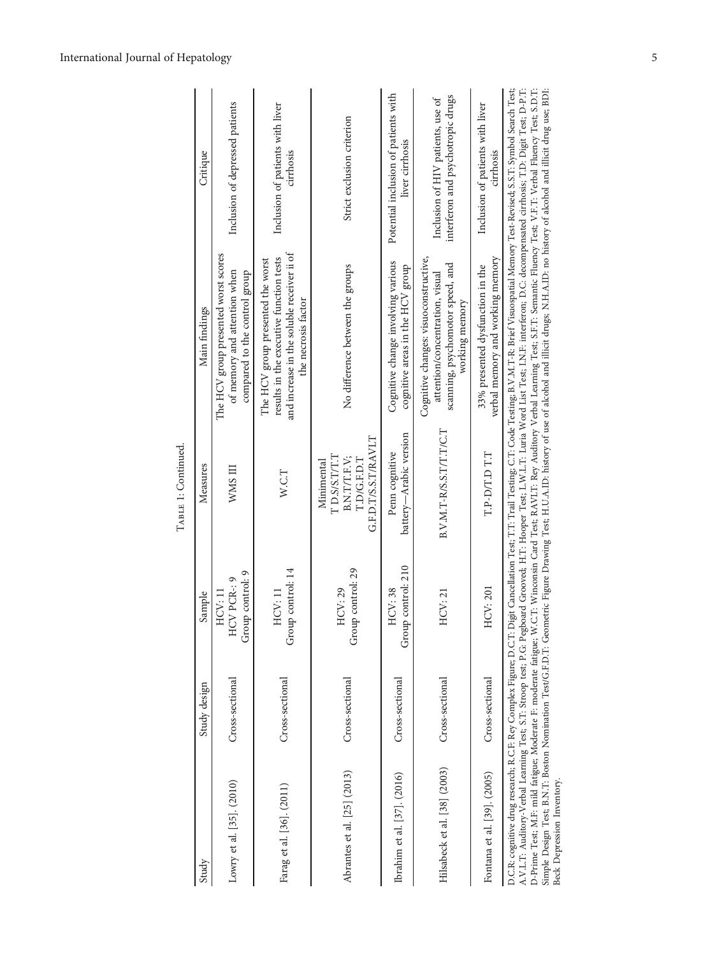|                              |                 |                                              | TABLE 1: Continued.                                                              |                                                                                                                                                                                                                                                                                                                                                                                                                                                                                                                                                                                                                                                                                                                                                                                                                                                     |                                                                        |
|------------------------------|-----------------|----------------------------------------------|----------------------------------------------------------------------------------|-----------------------------------------------------------------------------------------------------------------------------------------------------------------------------------------------------------------------------------------------------------------------------------------------------------------------------------------------------------------------------------------------------------------------------------------------------------------------------------------------------------------------------------------------------------------------------------------------------------------------------------------------------------------------------------------------------------------------------------------------------------------------------------------------------------------------------------------------------|------------------------------------------------------------------------|
| Study                        | Study design    | Sample                                       | Measures                                                                         | Main findings                                                                                                                                                                                                                                                                                                                                                                                                                                                                                                                                                                                                                                                                                                                                                                                                                                       | Critique                                                               |
| Lowry et al. [35]. (2010)    | Cross-sectional | Group control: 9<br>$HCV$ $PCR-9$<br>HCV: 11 | WMS III                                                                          | The HCV group presented worst scores<br>of memory and attention when<br>compared to the control group                                                                                                                                                                                                                                                                                                                                                                                                                                                                                                                                                                                                                                                                                                                                               | Inclusion of depressed patients                                        |
| Farag et al. [36]. (2011)    | Cross-sectional | control: 14<br>HCV: 11<br>Group              | W.C.T                                                                            | and increase in the soluble receiver ii of<br>results in the executive function tests<br>The HCV group presented the worst<br>the necrosis factor                                                                                                                                                                                                                                                                                                                                                                                                                                                                                                                                                                                                                                                                                                   | Inclusion of patients with liver<br>cirrhosis                          |
| Abrantes et al. [25] (2013)  | Cross-sectional | control: 29<br><b>HCV: 29</b><br>Group       | G.F.D.T/S.S.T/RAVLT<br>TD.S/S.T/T.T<br>B.N.T/T.F.V:<br>T.D/G.F.D.T<br>Minimental | No difference between the groups                                                                                                                                                                                                                                                                                                                                                                                                                                                                                                                                                                                                                                                                                                                                                                                                                    | Strict exclusion criterion                                             |
| Ibrahim et al. [37]. (2016)  | Cross-sectional | Group control: 210<br>HCV: 38                | battery—Arabic version<br>Penn cognitive                                         | Cognitive change involving various<br>cognitive areas in the HCV group                                                                                                                                                                                                                                                                                                                                                                                                                                                                                                                                                                                                                                                                                                                                                                              | Potential inclusion of patients with<br>liver cirrhosis                |
| Hilsabeck et al. [38] (2003) | Cross-sectional | HCV: 21                                      | $B.V.M.T-R/S.S.T/T.T/C.T$                                                        | Cognitive changes: visuoconstructive,<br>scanning, psychomotor speed, and<br>attention/concentration, visual<br>working memory                                                                                                                                                                                                                                                                                                                                                                                                                                                                                                                                                                                                                                                                                                                      | interferon and psychotropic drugs<br>Inclusion of HIV patients, use of |
| Fontana et al. [39]. (2005)  | Cross-sectional | <b>HCV: 201</b>                              | $T.P-D/T.D T.T$                                                                  | verbal memory and working memory<br>33% presented dysfunction in the                                                                                                                                                                                                                                                                                                                                                                                                                                                                                                                                                                                                                                                                                                                                                                                | Inclusion of patients with liver<br>cirrhosis                          |
| Beck Depression Inventory.   |                 |                                              |                                                                                  | A.V.L.T: Auditory-Verbal Learning Test; S.T: Stroop test; P.G: Pegboard Grooved; H.T: Hooper Test; L.W.L.T: Luria Word List Test; LN.F: interferon; D.C: decompensated cirrhosis; T.D: Digit Test; D-P.T:<br>D.C.R. cognitive drug research; R.C.F: Rey Complex Figure; D.C.T: Digit Cancellation Test; T.T. Trail Testing; C.T: Code Testing; B.V.M.T-R: Brief Visuospatial Memory Test-Revised; S.S.T: Symbol Search Test;<br>Simple Design Test, BAIT: Boston Nomination Test/G.F.D.T: Geometric Figure Drawing Test; H.U.A.ID: history of use of alcohol and illicit drugs; N.H.A.ID: no history of alcohol and illicit drug use; BDI:<br>D-Prime Test; M.F: mild fatigue; Moderate F: moderate fatigue; W.C.T: Winconsin Card Test; RAVLT: Rey Auditory Verbal Learning Test; S.F.T: Semantic Fluency Test; V.F.T: Verbal Fluency Test; S.D.T. |                                                                        |

International Journal of Hepatology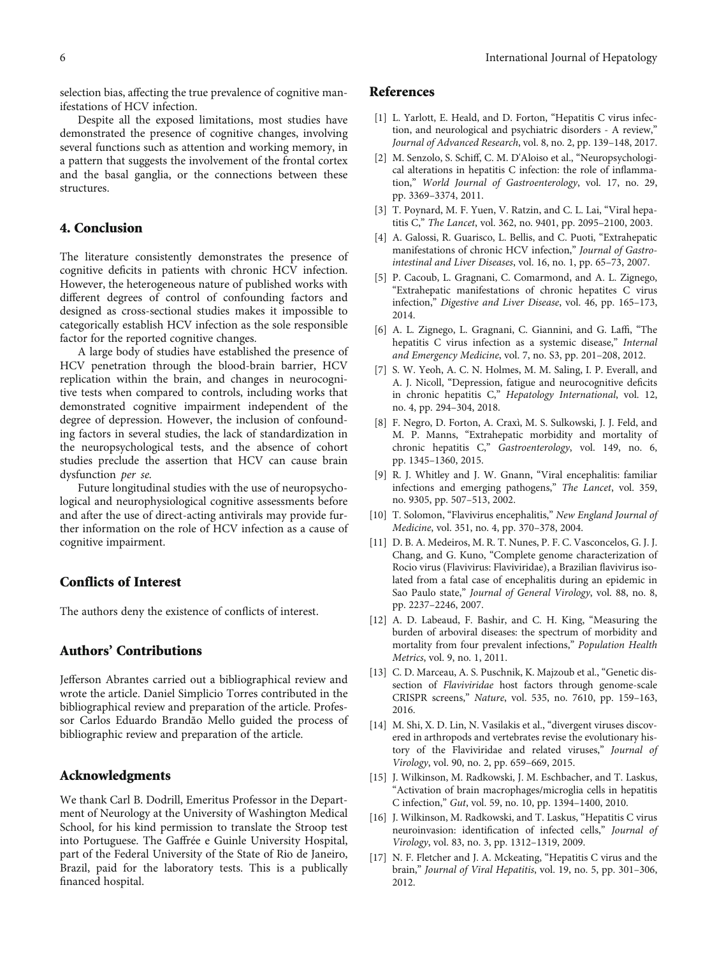selection bias, affecting the true prevalence of cognitive manifestations of HCV infection.

Despite all the exposed limitations, most studies have demonstrated the presence of cognitive changes, involving several functions such as attention and working memory, in a pattern that suggests the involvement of the frontal cortex and the basal ganglia, or the connections between these structures.

### 4. Conclusion

The literature consistently demonstrates the presence of cognitive deficits in patients with chronic HCV infection. However, the heterogeneous nature of published works with different degrees of control of confounding factors and designed as cross-sectional studies makes it impossible to categorically establish HCV infection as the sole responsible factor for the reported cognitive changes.

A large body of studies have established the presence of HCV penetration through the blood-brain barrier, HCV replication within the brain, and changes in neurocognitive tests when compared to controls, including works that demonstrated cognitive impairment independent of the degree of depression. However, the inclusion of confounding factors in several studies, the lack of standardization in the neuropsychological tests, and the absence of cohort studies preclude the assertion that HCV can cause brain dysfunction per se.

Future longitudinal studies with the use of neuropsychological and neurophysiological cognitive assessments before and after the use of direct-acting antivirals may provide further information on the role of HCV infection as a cause of cognitive impairment.

#### Conflicts of Interest

The authors deny the existence of conflicts of interest.

#### Authors' Contributions

Jefferson Abrantes carried out a bibliographical review and wrote the article. Daniel Simplicio Torres contributed in the bibliographical review and preparation of the article. Professor Carlos Eduardo Brandão Mello guided the process of bibliographic review and preparation of the article.

#### Acknowledgments

We thank Carl B. Dodrill, Emeritus Professor in the Department of Neurology at the University of Washington Medical School, for his kind permission to translate the Stroop test into Portuguese. The Gaffrée e Guinle University Hospital, part of the Federal University of the State of Rio de Janeiro, Brazil, paid for the laboratory tests. This is a publically financed hospital.

### References

- [1] L. Yarlott, E. Heald, and D. Forton, "Hepatitis C virus infection, and neurological and psychiatric disorders - A review," Journal of Advanced Research, vol. 8, no. 2, pp. 139–148, 2017.
- [2] M. Senzolo, S. Schiff, C. M. D'Aloiso et al., "Neuropsychological alterations in hepatitis C infection: the role of inflammation," World Journal of Gastroenterology, vol. 17, no. 29, pp. 3369–3374, 2011.
- [3] T. Poynard, M. F. Yuen, V. Ratzin, and C. L. Lai, "Viral hepatitis C," The Lancet, vol. 362, no. 9401, pp. 2095–2100, 2003.
- [4] A. Galossi, R. Guarisco, L. Bellis, and C. Puoti, "Extrahepatic manifestations of chronic HCV infection," Journal of Gastrointestinal and Liver Diseases, vol. 16, no. 1, pp. 65–73, 2007.
- [5] P. Cacoub, L. Gragnani, C. Comarmond, and A. L. Zignego, "Extrahepatic manifestations of chronic hepatites C virus infection," Digestive and Liver Disease, vol. 46, pp. 165–173, 2014.
- [6] A. L. Zignego, L. Gragnani, C. Giannini, and G. Laffi, "The hepatitis C virus infection as a systemic disease," Internal and Emergency Medicine, vol. 7, no. S3, pp. 201–208, 2012.
- [7] S. W. Yeoh, A. C. N. Holmes, M. M. Saling, I. P. Everall, and A. J. Nicoll, "Depression, fatigue and neurocognitive deficits in chronic hepatitis C," Hepatology International, vol. 12, no. 4, pp. 294–304, 2018.
- [8] F. Negro, D. Forton, A. Craxì, M. S. Sulkowski, J. J. Feld, and M. P. Manns, "Extrahepatic morbidity and mortality of chronic hepatitis C," Gastroenterology, vol. 149, no. 6, pp. 1345–1360, 2015.
- [9] R. J. Whitley and J. W. Gnann, "Viral encephalitis: familiar infections and emerging pathogens," The Lancet, vol. 359, no. 9305, pp. 507–513, 2002.
- [10] T. Solomon, "Flavivirus encephalitis," New England Journal of Medicine, vol. 351, no. 4, pp. 370–378, 2004.
- [11] D. B. A. Medeiros, M. R. T. Nunes, P. F. C. Vasconcelos, G. J. J. Chang, and G. Kuno, "Complete genome characterization of Rocio virus (Flavivirus: Flaviviridae), a Brazilian flavivirus isolated from a fatal case of encephalitis during an epidemic in Sao Paulo state," Journal of General Virology, vol. 88, no. 8, pp. 2237–2246, 2007.
- [12] A. D. Labeaud, F. Bashir, and C. H. King, "Measuring the burden of arboviral diseases: the spectrum of morbidity and mortality from four prevalent infections," Population Health Metrics, vol. 9, no. 1, 2011.
- [13] C. D. Marceau, A. S. Puschnik, K. Majzoub et al., "Genetic dissection of Flaviviridae host factors through genome-scale CRISPR screens," Nature, vol. 535, no. 7610, pp. 159–163, 2016.
- [14] M. Shi, X. D. Lin, N. Vasilakis et al., "divergent viruses discovered in arthropods and vertebrates revise the evolutionary history of the Flaviviridae and related viruses," Journal of Virology, vol. 90, no. 2, pp. 659–669, 2015.
- [15] J. Wilkinson, M. Radkowski, J. M. Eschbacher, and T. Laskus, "Activation of brain macrophages/microglia cells in hepatitis C infection," Gut, vol. 59, no. 10, pp. 1394–1400, 2010.
- [16] J. Wilkinson, M. Radkowski, and T. Laskus, "Hepatitis C virus neuroinvasion: identification of infected cells," Journal of Virology, vol. 83, no. 3, pp. 1312–1319, 2009.
- [17] N. F. Fletcher and J. A. Mckeating, "Hepatitis C virus and the brain," Journal of Viral Hepatitis, vol. 19, no. 5, pp. 301–306, 2012.